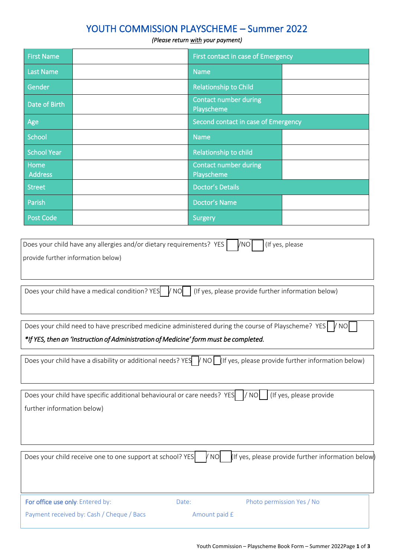### YOUTH COMMISSION PLAYSCHEME – Summer 2022

#### *(Please return with your payment)*

| <b>First Name</b>      | First contact in case of Emergency         |  |
|------------------------|--------------------------------------------|--|
| <b>Last Name</b>       | <b>Name</b>                                |  |
| Gender                 | <b>Relationship to Child</b>               |  |
| Date of Birth          | <b>Contact number during</b><br>Playscheme |  |
| Age                    | Second contact in case of Emergency        |  |
| School                 | <b>Name</b>                                |  |
| <b>School Year</b>     | Relationship to child                      |  |
| Home<br><b>Address</b> | <b>Contact number during</b><br>Playscheme |  |
| <b>Street</b>          | <b>Doctor's Details</b>                    |  |
| Parish                 | <b>Doctor's Name</b>                       |  |
| <b>Post Code</b>       | <b>Surgery</b>                             |  |

| Does your child have any allergies and/or dietary requirements? YES   $\sqrt{NO}$   (If yes, please |  |
|-----------------------------------------------------------------------------------------------------|--|
| provide further information below)                                                                  |  |
|                                                                                                     |  |
|                                                                                                     |  |

| Does your child have a medical condition? YES $\blacksquare$ / NO $\blacksquare$ (If yes, please provide further information below) |  |  |  |  |
|-------------------------------------------------------------------------------------------------------------------------------------|--|--|--|--|
|-------------------------------------------------------------------------------------------------------------------------------------|--|--|--|--|

Does your child need to have prescribed medicine administered during the course of Playscheme? YES  $\sqrt{}$  NO

*\*If YES, then an 'Instruction of Administration of Medicine' form must be completed.*

| Does your child have a disability or additional needs? YES $\sqrt{}$ NO $\sqrt{}$ (If yes, please provide further information below) |  |
|--------------------------------------------------------------------------------------------------------------------------------------|--|
|                                                                                                                                      |  |

| Does your child have specific additional behavioural or care needs? YES    / NO     (If yes, please provide             |       |                           |
|-------------------------------------------------------------------------------------------------------------------------|-------|---------------------------|
| further information below)                                                                                              |       |                           |
|                                                                                                                         |       |                           |
|                                                                                                                         |       |                           |
|                                                                                                                         |       |                           |
| (If yes, please provide further information below)<br>/ NO<br>Does your child receive one to one support at school? YES |       |                           |
|                                                                                                                         |       |                           |
|                                                                                                                         |       |                           |
|                                                                                                                         |       |                           |
| For office use only: Entered by:                                                                                        | Date: | Photo permission Yes / No |
| Payment received by: Cash / Cheque / Bacs                                                                               |       | Amount paid £             |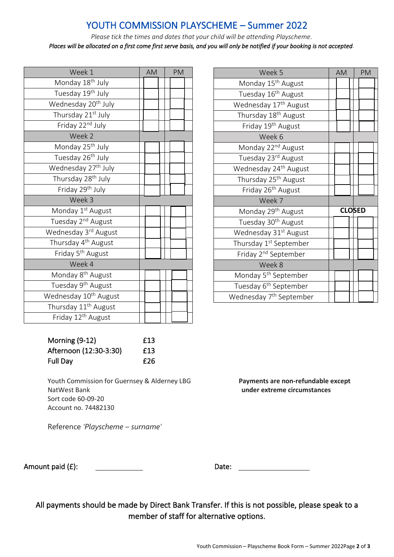# YOUTH COMMISSION PLAYSCHEME – Summer 2022

*Please tick the times and dates that your child will be attending Playscheme. Places will be allocated on a first come first serve basis, and you will only be notified if your booking is not accepted.*

| Week 1                            | <b>AM</b> | <b>PM</b> |
|-----------------------------------|-----------|-----------|
| Monday 18 <sup>th</sup> July      |           |           |
| Tuesday 19th July                 |           |           |
| Wednesday 20 <sup>th</sup> July   |           |           |
| Thursday 21st July                |           |           |
| Friday 22nd July                  |           |           |
| Week 2                            |           |           |
| Monday 25 <sup>th</sup> July      |           |           |
| Tuesday 26 <sup>th</sup> July     |           |           |
| Wednesday 27 <sup>th</sup> July   |           |           |
| Thursday 28 <sup>th</sup> July    |           |           |
| Friday 29 <sup>th</sup> July      |           |           |
| Week 3                            |           |           |
| Monday 1 <sup>st</sup> August     |           |           |
| Tuesday 2 <sup>nd</sup> August    |           |           |
| Wednesday 3rd August              |           |           |
| Thursday 4 <sup>th</sup> August   |           |           |
| Friday 5 <sup>th</sup> August     |           |           |
| Week 4                            |           |           |
| Monday 8 <sup>th</sup> August     |           |           |
| Tuesday 9 <sup>th</sup> August    |           |           |
| Wednesday 10 <sup>th</sup> August |           |           |
| Thursday 11 <sup>th</sup> August  |           |           |
| Friday 12 <sup>th</sup> August    |           |           |

| Week 5                              | AM | PM            |
|-------------------------------------|----|---------------|
| Monday 15 <sup>th</sup> August      |    |               |
| Tuesday 16 <sup>th</sup> August     |    |               |
| Wednesday 17 <sup>th</sup> August   |    |               |
| Thursday 18 <sup>th</sup> August    |    |               |
| Friday 19 <sup>th</sup> August      |    |               |
| Week 6                              |    |               |
| Monday 22 <sup>nd</sup> August      |    |               |
| Tuesday 23rd August                 |    |               |
| Wednesday 24 <sup>th</sup> August   |    |               |
| Thursday 25 <sup>th</sup> August    |    |               |
| Friday 26 <sup>th</sup> August      |    |               |
| Week 7                              |    |               |
| Monday 29 <sup>th</sup> August      |    | <b>CLOSED</b> |
| Tuesday 30 <sup>th</sup> August     |    |               |
| Wednesday 31st August               |    |               |
| Thursday 1 <sup>st</sup> September  |    |               |
| Friday 2 <sup>nd</sup> September    |    |               |
| Week 8                              |    |               |
| Monday 5 <sup>th</sup> September    |    |               |
| Tuesday 6 <sup>th</sup> September   |    |               |
| Wednesday 7 <sup>th</sup> September |    |               |

| Morning (9-12)         | £13 |
|------------------------|-----|
| Afternoon (12:30-3:30) | £13 |
| Full Day               | £26 |

Youth Commission for Guernsey & Alderney LBG **Payments are non-refundable except** NatWest Bank **under extreme circumstances** Sort code 60-09-20 Account no. 74482130

Reference *'Playscheme – surname'*

Amount paid (£): Date: Date:

All payments should be made by Direct Bank Transfer. If this is not possible, please speak to a member of staff for alternative options.